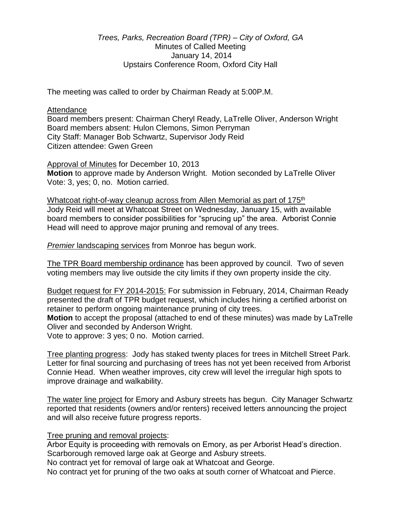## *Trees, Parks, Recreation Board (TPR) – City of Oxford, GA* Minutes of Called Meeting January 14, 2014 Upstairs Conference Room, Oxford City Hall

The meeting was called to order by Chairman Ready at 5:00P.M.

## Attendance

Board members present: Chairman Cheryl Ready, LaTrelle Oliver, Anderson Wright Board members absent: Hulon Clemons, Simon Perryman City Staff: Manager Bob Schwartz, Supervisor Jody Reid Citizen attendee: Gwen Green

Approval of Minutes for December 10, 2013 **Motion** to approve made by Anderson Wright. Motion seconded by LaTrelle Oliver Vote: 3, yes; 0, no. Motion carried.

Whatcoat right-of-way cleanup across from Allen Memorial as part of 175<sup>th</sup> Jody Reid will meet at Whatcoat Street on Wednesday, January 15, with available board members to consider possibilities for "sprucing up" the area. Arborist Connie Head will need to approve major pruning and removal of any trees.

*Premier* landscaping services from Monroe has begun work.

The TPR Board membership ordinance has been approved by council. Two of seven voting members may live outside the city limits if they own property inside the city.

Budget request for FY 2014-2015: For submission in February, 2014, Chairman Ready presented the draft of TPR budget request, which includes hiring a certified arborist on retainer to perform ongoing maintenance pruning of city trees.

**Motion** to accept the proposal (attached to end of these minutes) was made by LaTrelle Oliver and seconded by Anderson Wright.

Vote to approve: 3 yes; 0 no. Motion carried.

Tree planting progress: Jody has staked twenty places for trees in Mitchell Street Park. Letter for final sourcing and purchasing of trees has not yet been received from Arborist Connie Head. When weather improves, city crew will level the irregular high spots to improve drainage and walkability.

The water line project for Emory and Asbury streets has begun. City Manager Schwartz reported that residents (owners and/or renters) received letters announcing the project and will also receive future progress reports.

## Tree pruning and removal projects:

Arbor Equity is proceeding with removals on Emory, as per Arborist Head's direction. Scarborough removed large oak at George and Asbury streets.

No contract yet for removal of large oak at Whatcoat and George.

No contract yet for pruning of the two oaks at south corner of Whatcoat and Pierce.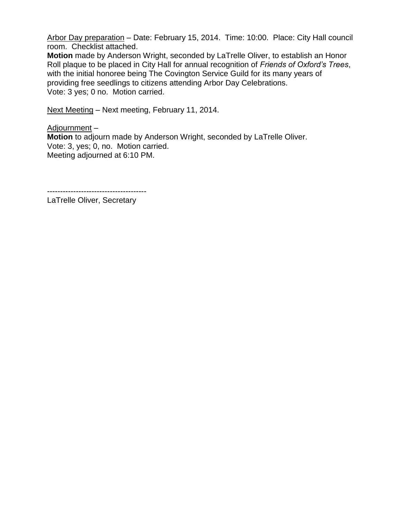Arbor Day preparation – Date: February 15, 2014. Time: 10:00. Place: City Hall council room. Checklist attached.

**Motion** made by Anderson Wright, seconded by LaTrelle Oliver, to establish an Honor Roll plaque to be placed in City Hall for annual recognition of *Friends of Oxford's Trees*, with the initial honoree being The Covington Service Guild for its many years of providing free seedlings to citizens attending Arbor Day Celebrations. Vote: 3 yes; 0 no. Motion carried.

Next Meeting – Next meeting, February 11, 2014.

Adjournment – **Motion** to adjourn made by Anderson Wright, seconded by LaTrelle Oliver. Vote: 3, yes; 0, no. Motion carried. Meeting adjourned at 6:10 PM.

--------------------------------------

LaTrelle Oliver, Secretary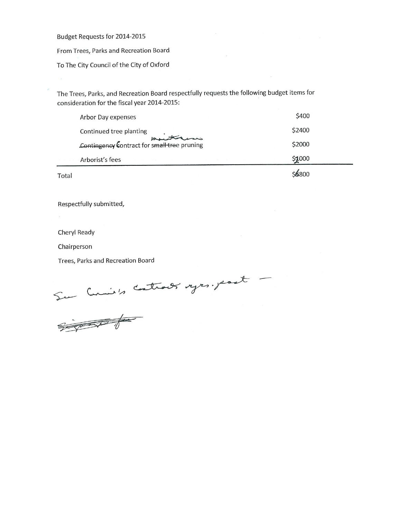Budget Requests for 2014-2015

From Trees, Parks and Recreation Board

To The City Council of the City of Oxford

The Trees, Parks, and Recreation Board respectfully requests the following budget items for consideration for the fiscal year 2014-2015:

| Total |                                             | \$6800 |  |
|-------|---------------------------------------------|--------|--|
|       | Arborist's fees<br>74 7 74                  | \$1000 |  |
|       | Contingency Contract for small tree pruning | \$2000 |  |
|       | Continued tree planting                     | \$2400 |  |
|       | Arbor Day expenses                          | \$400  |  |

Respectfully submitted,

Cheryl Ready

Chairperson

Trees, Parks and Recreation Board

Sur Curie's Control's vyes. past